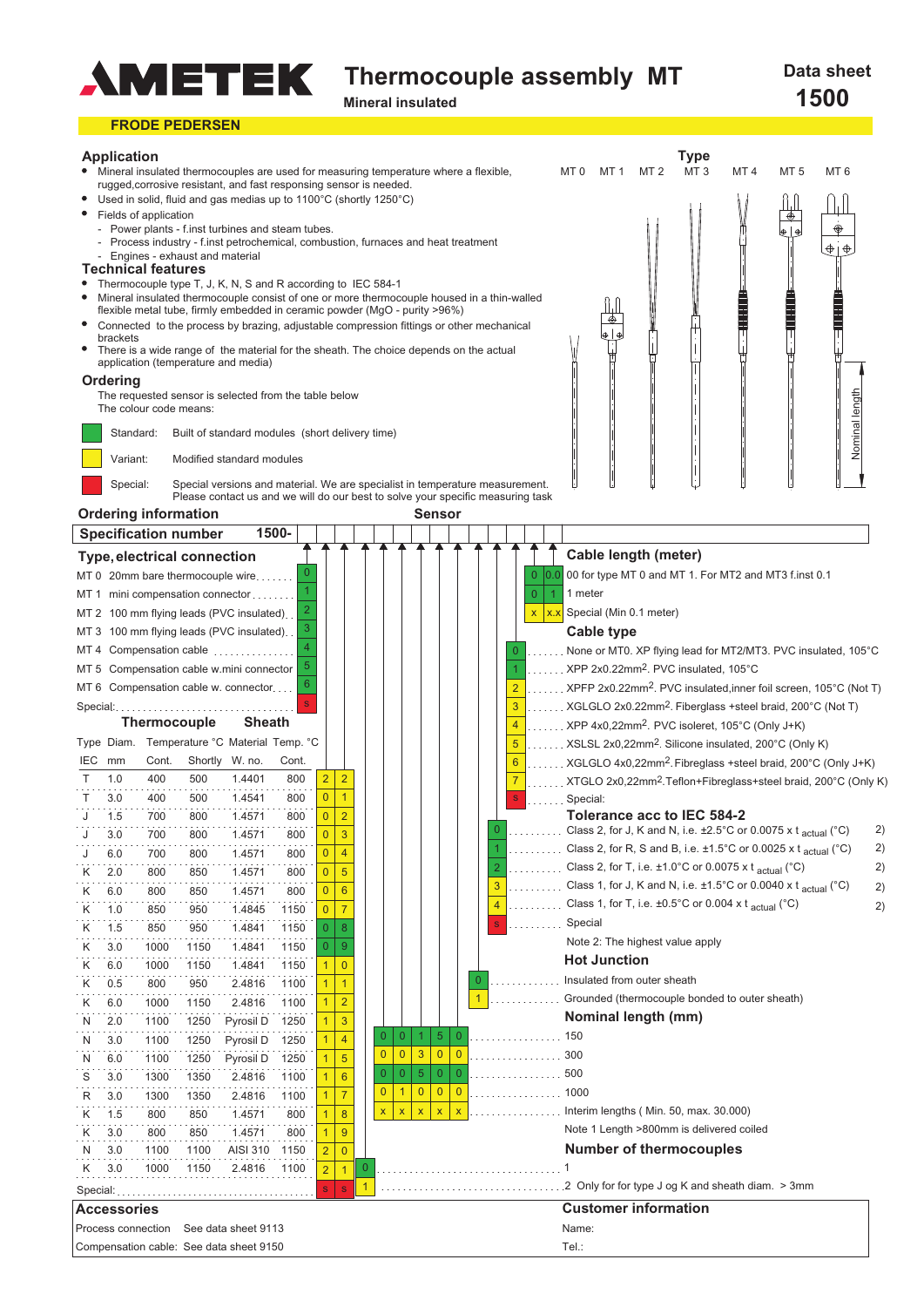

# **Thermocouple assembly MT**

**Mineral insulated**

#### **FRODE PEDERSEN Application Type**<br>MT3 Mineral insulated thermocouples are used for measuring temperature where a flexible,  $MT<sub>0</sub>$ MT 1 MT 2 MT 3 MT 4 MT 5 MT 6 rugged,corrosive resistant, and fast responsing sensor is needed. Used in solid, fluid and gas medias up to 1100°C (shortly 1250°C) Fields of application Power plants - f.inst turbines and steam tubes.  $\dot{\circ}$ Process industry - f.inst petrochemical, combustion, furnaces and heat treatment  $\bigoplus$   $\oplus$ - Engines - exhaust and material **Technical features** Thermocouple type T, J, K, N, S and R according to IEC 584-1 Mineral insulated thermocouple consist of one or more thermocouple housed in a thin-walled flexible metal tube, firmly embedded in ceramic powder (MgO - purity >96%) Connected to the process by brazing, adjustable compression fittings or other mechanical brackets There is a wide range of the material for the sheath. The choice depends on the actual application (temperature and media) **Ordering** The requested sensor is selected from the table below lenath Nominal length The colour code means: Nominal Standard: Built of standard modules (short delivery time) Variant: Modified standard modules Special: Special versions and material. We are specialist in temperature measurement. Please contact us and we will do our best to solve your specific measuring task **Ordering information Sensor Specification number 1500- Cable length (meter) electrical connection Type,** 00 for type MT 0 and MT 1. For MT2 and MT3 f.inst 0.1 MT 0 20mm bare thermocouple wire....  $\mathbf{0}$  $\mathbf{0}$ 0.0 1 1 meter MT 1 mini compensation connector  $\mathbf{0}$ 1 Special (Min 0.1 meter) 2 MT 2 100 mm flying leads (PVC insulated). x x.x 3 **Cable type** MT 3 100 mm flying leads (PVC insulated) 4 None or MT0. XP flying lead for MT2/MT3. PVC insulated, 105°C MT 4 Compensation cable  $\mathbf{0}$ 5 XPP 2x0.22mm2. PVC insulated, 105°C MT 5 Compensation cable w.mini connector 1  $\overline{6}$ XPFP 2x0.22mm2. PVC insulated,inner foil screen, 105°C (Not T) MT 6 Compensation cable w. connector 2 Special: s XGLGLO 2x0.22mm2. Fiberglass +steel braid, 200°C (Not T) 3 **Thermocouple Sheath** XPP 4x0,22mm<sup>2</sup>. PVC isoleret, 105°C (Only J+K) 4 Type Diam. Temperature °C Material Temp. °C 5 XSLSL 2x0,22mm2. Silicone insulated, 200°C (Only K) Cont. Cont. IEC mm Shortly W. no. XGLGLO 4x0,22mm2. Fibreglass +steel braid, 200°C (Only J+K) 6 1.4401 800 T 1.0 400 500  $2$  | 2 XTGLO 2x0,22mm<sup>2</sup>.Teflon+Fibreglass+steel braid, 200°C (Only K) 7 T  $3.0$  $400$  $500$ 1.4541  $800$  $0$  1 Special: s  $0$  2 **Tolerance acc to IEC 584-2** J 1.5 700  $800$  $1.4571$  $800$ Class 2, for J, K and N, i.e.  $\pm 2.5^{\circ}$ C or 0.0075 x t  $_{\text{actual}}$  (°C)  $2)$  $\mathbf{0}$  $0<sup>3</sup>$ J 3.0 700 800 1.4571 800 Class 2, for R, S and B, i.e.  $\pm 1.5^{\circ}$ C or 0.0025 x t actual ( $^{\circ}$ C) 2) 1 J 700  $800$ 1.4571 800  $0 \mid 4$ 6.0 Class 2, for T, i.e.  $\pm 1.0^{\circ}$ C or 0.0075 x t actual ( $^{\circ}$ C)  $2)$ K  $2.0$  $800$  $850$ 1.4571  $800$  $0<sup>15</sup>$ 2 Class 1, for J, K and N, i.e.  $\pm 1.5^{\circ}$ C or 0.0040 x t  $_{\text{actual}}$  (°C) 3  $\overline{0}$  6 2) K 800 850 1.4571 800 6.0 Class 1, for T, i.e.  $\pm 0.5^{\circ}$ C or 0.004 x t  $_{\text{actual}}$  ( $^{\circ}$ C) 4 2) K  $950$ 1.4845 1.0  $850$  $1150$  $0<sup>2</sup>$ Special K 1.5 850  $950$ 1.4841  $1150$ s 0 | 8 Note 2: The highest value apply K  $3.0$  $1000$  $1150$ 1.4841  $1150$ 0 | 9 **Hot Junction**  $1$  0 K 6.0  $1000$ 1150  $1.4841$ 1150 Insulated from outer sheath K  $0.5$  $800$  $950$  $2.4816$  $1100$  $1 \mid 1$  $\mathbf{0}$ 1 Grounded (thermocouple bonded to outer sheath) K  $6.0$ 1000 1150 2.4816 1100 <sup>2</sup> **Nominal length (mm)** N 1100 1250 Pyrosil D  $1250$  $1\overline{3}$ 2.0  $5$  0  $1 | 4$ 0 | 0 | 1 150 N 3.0 1100 1250 Pyrosil D 1250  $0$  0 3  $0 0$ 300 N  $6.0$ 1100 1250 Pyrosil D  $1250$  $1 \vert 5$  $\Omega$ 500 S  $3.0$ 1300 1350 2.4816  $1100$  $1$  6 0 | 0 | 5 1000  $\frac{1}{1}$  7  $0 1 0$  $0$  0 R  $3.0$ 1300 1350 2.4816 1100 Interim lengths ( Min. 50, max. 30.000) K 1.5 800 850 1.4571 800  $1 \mid 8$  $x \mid x \mid x$  $x \mid x$ Note 1 Length >800mm is delivered coiled K 800 850 1.4571 800  $\overline{9}$ 3.0 N 3.0 1100 1100 AISI 310 1150 **Number of thermocouples**  $\overline{2}$  0 K 3.0 1000 1150 2.4816 1100  $\mathbf{0}$  $2$  1 1  $2$  Only for for type J og K and sheath diam.  $>3$ mm Special: ........... 1 s  $\mid$  s **AccessoriesCustomer information** Process connection See data sheet 9113 Name: Tel.: Compensation cable: See data sheet 9150